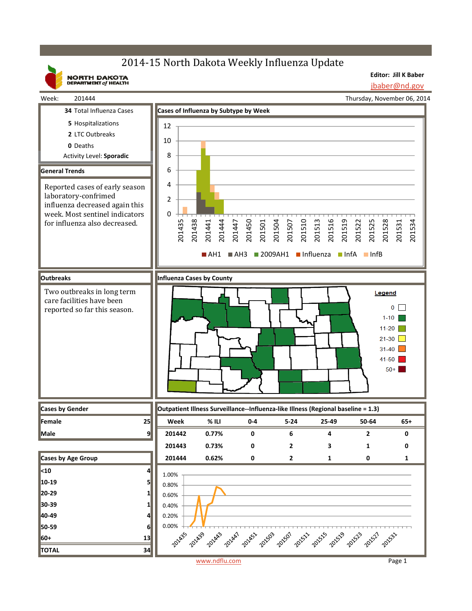# 2014-15 North Dakota Weekly Influenza Update

**NORTH DAKOTA**<br>DEPARTMENT of HEALTH

**Editor: Jill K Baber** jbaber@nd.gov